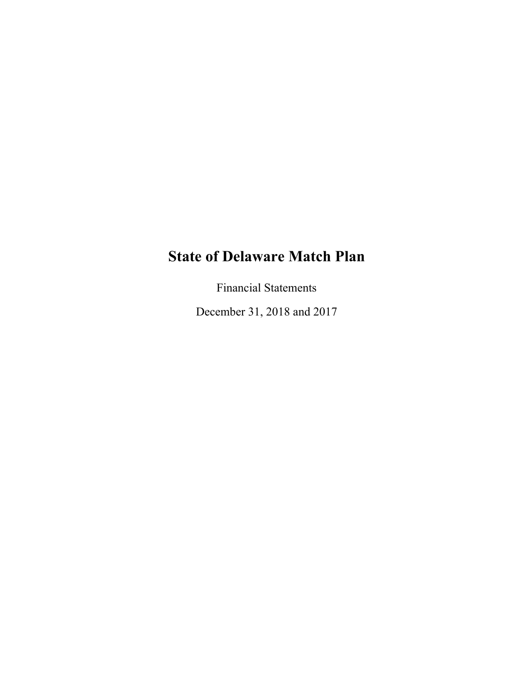Financial Statements

December 31, 2018 and 2017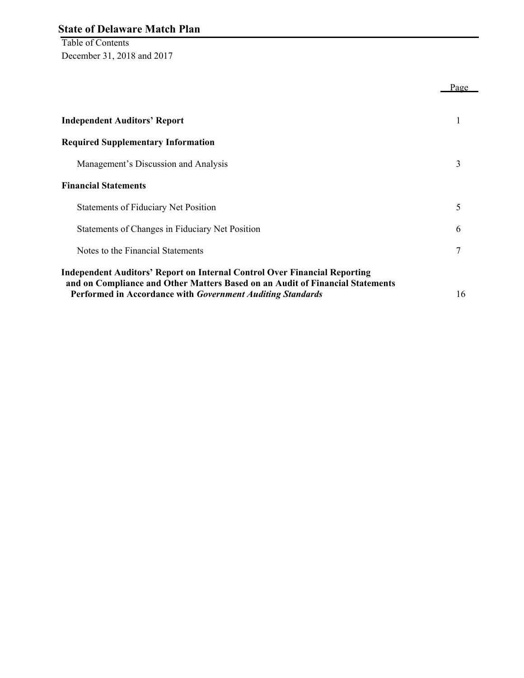Table of Contents December 31, 2018 and 2017

|                                                                                                                                                                                                                          | Page |
|--------------------------------------------------------------------------------------------------------------------------------------------------------------------------------------------------------------------------|------|
| <b>Independent Auditors' Report</b>                                                                                                                                                                                      |      |
| <b>Required Supplementary Information</b>                                                                                                                                                                                |      |
| Management's Discussion and Analysis                                                                                                                                                                                     | 3    |
| <b>Financial Statements</b>                                                                                                                                                                                              |      |
| <b>Statements of Fiduciary Net Position</b>                                                                                                                                                                              | 5    |
| Statements of Changes in Fiduciary Net Position                                                                                                                                                                          | 6    |
| Notes to the Financial Statements                                                                                                                                                                                        | 7    |
| Independent Auditors' Report on Internal Control Over Financial Reporting<br>and on Compliance and Other Matters Based on an Audit of Financial Statements<br>Performed in Accordance with Government Auditing Standards | 16   |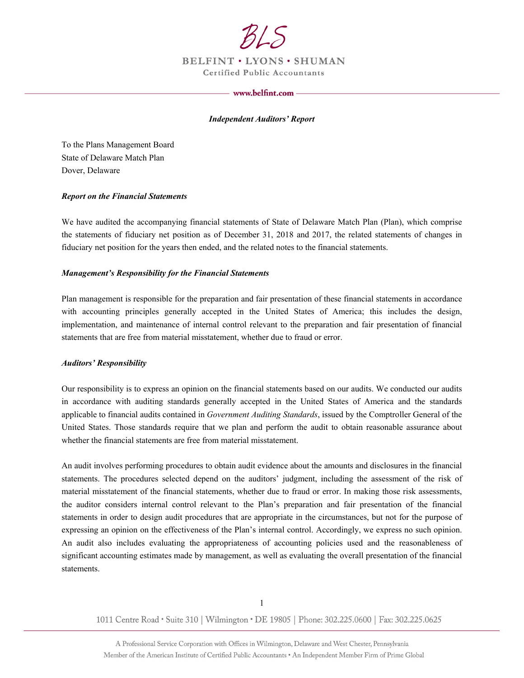

**BELFINT . LYONS . SHUMAN Certified Public Accountants** 

#### www.belfint.com

#### *Independent Auditors' Report*

To the Plans Management Board State of Delaware Match Plan Dover, Delaware

#### *Report on the Financial Statements*

We have audited the accompanying financial statements of State of Delaware Match Plan (Plan), which comprise the statements of fiduciary net position as of December 31, 2018 and 2017, the related statements of changes in fiduciary net position for the years then ended, and the related notes to the financial statements.

#### *Management's Responsibility for the Financial Statements*

Plan management is responsible for the preparation and fair presentation of these financial statements in accordance with accounting principles generally accepted in the United States of America; this includes the design, implementation, and maintenance of internal control relevant to the preparation and fair presentation of financial statements that are free from material misstatement, whether due to fraud or error.

#### *Auditors' Responsibility*

Our responsibility is to express an opinion on the financial statements based on our audits. We conducted our audits in accordance with auditing standards generally accepted in the United States of America and the standards applicable to financial audits contained in *Government Auditing Standards*, issued by the Comptroller General of the United States. Those standards require that we plan and perform the audit to obtain reasonable assurance about whether the financial statements are free from material misstatement.

An audit involves performing procedures to obtain audit evidence about the amounts and disclosures in the financial statements. The procedures selected depend on the auditors' judgment, including the assessment of the risk of material misstatement of the financial statements, whether due to fraud or error. In making those risk assessments, the auditor considers internal control relevant to the Plan's preparation and fair presentation of the financial statements in order to design audit procedures that are appropriate in the circumstances, but not for the purpose of expressing an opinion on the effectiveness of the Plan's internal control. Accordingly, we express no such opinion. An audit also includes evaluating the appropriateness of accounting policies used and the reasonableness of significant accounting estimates made by management, as well as evaluating the overall presentation of the financial statements.

1011 Centre Road • Suite 310 | Wilmington • DE 19805 | Phone: 302.225.0600 | Fax: 302.225.0625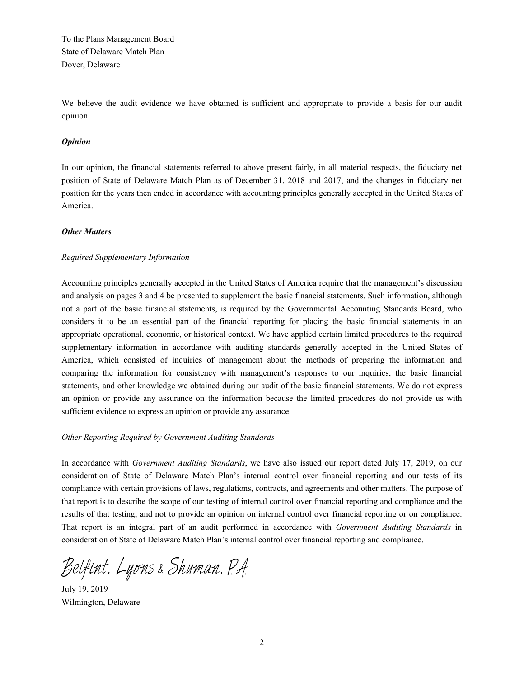To the Plans Management Board State of Delaware Match Plan Dover, Delaware

We believe the audit evidence we have obtained is sufficient and appropriate to provide a basis for our audit opinion.

#### *Opinion*

In our opinion, the financial statements referred to above present fairly, in all material respects, the fiduciary net position of State of Delaware Match Plan as of December 31, 2018 and 2017, and the changes in fiduciary net position for the years then ended in accordance with accounting principles generally accepted in the United States of America.

#### *Other Matters*

#### *Required Supplementary Information*

Accounting principles generally accepted in the United States of America require that the management's discussion and analysis on pages 3 and 4 be presented to supplement the basic financial statements. Such information, although not a part of the basic financial statements, is required by the Governmental Accounting Standards Board, who considers it to be an essential part of the financial reporting for placing the basic financial statements in an appropriate operational, economic, or historical context. We have applied certain limited procedures to the required supplementary information in accordance with auditing standards generally accepted in the United States of America, which consisted of inquiries of management about the methods of preparing the information and comparing the information for consistency with management's responses to our inquiries, the basic financial statements, and other knowledge we obtained during our audit of the basic financial statements. We do not express an opinion or provide any assurance on the information because the limited procedures do not provide us with sufficient evidence to express an opinion or provide any assurance.

#### *Other Reporting Required by Government Auditing Standards*

In accordance with *Government Auditing Standards*, we have also issued our report dated July 17, 2019, on our consideration of State of Delaware Match Plan's internal control over financial reporting and our tests of its compliance with certain provisions of laws, regulations, contracts, and agreements and other matters. The purpose of that report is to describe the scope of our testing of internal control over financial reporting and compliance and the results of that testing, and not to provide an opinion on internal control over financial reporting or on compliance. That report is an integral part of an audit performed in accordance with *Government Auditing Standards* in consideration of State of Delaware Match Plan's internal control over financial reporting and compliance.

Belfint, Lyons & Shuman, P.A.

July 19, 2019 Wilmington, Delaware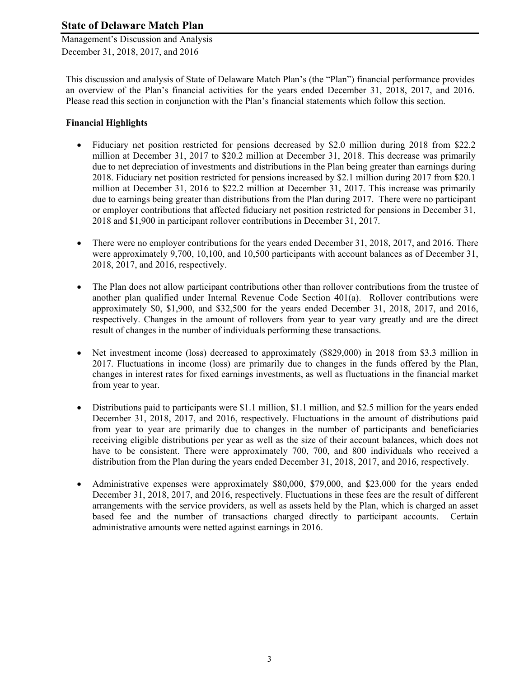Management's Discussion and Analysis December 31, 2018, 2017, and 2016

This discussion and analysis of State of Delaware Match Plan's (the "Plan") financial performance provides an overview of the Plan's financial activities for the years ended December 31, 2018, 2017, and 2016. Please read this section in conjunction with the Plan's financial statements which follow this section.

# **Financial Highlights**

- Fiduciary net position restricted for pensions decreased by \$2.0 million during 2018 from \$22.2 million at December 31, 2017 to \$20.2 million at December 31, 2018. This decrease was primarily due to net depreciation of investments and distributions in the Plan being greater than earnings during 2018. Fiduciary net position restricted for pensions increased by \$2.1 million during 2017 from \$20.1 million at December 31, 2016 to \$22.2 million at December 31, 2017. This increase was primarily due to earnings being greater than distributions from the Plan during 2017. There were no participant or employer contributions that affected fiduciary net position restricted for pensions in December 31, 2018 and \$1,900 in participant rollover contributions in December 31, 2017.
- There were no employer contributions for the years ended December 31, 2018, 2017, and 2016. There were approximately 9,700, 10,100, and 10,500 participants with account balances as of December 31, 2018, 2017, and 2016, respectively.
- The Plan does not allow participant contributions other than rollover contributions from the trustee of another plan qualified under Internal Revenue Code Section 401(a). Rollover contributions were approximately \$0, \$1,900, and \$32,500 for the years ended December 31, 2018, 2017, and 2016, respectively. Changes in the amount of rollovers from year to year vary greatly and are the direct result of changes in the number of individuals performing these transactions.
- Net investment income (loss) decreased to approximately (\$829,000) in 2018 from \$3.3 million in 2017. Fluctuations in income (loss) are primarily due to changes in the funds offered by the Plan, changes in interest rates for fixed earnings investments, as well as fluctuations in the financial market from year to year.
- Distributions paid to participants were \$1.1 million, \$1.1 million, and \$2.5 million for the years ended December 31, 2018, 2017, and 2016, respectively. Fluctuations in the amount of distributions paid from year to year are primarily due to changes in the number of participants and beneficiaries receiving eligible distributions per year as well as the size of their account balances, which does not have to be consistent. There were approximately 700, 700, and 800 individuals who received a distribution from the Plan during the years ended December 31, 2018, 2017, and 2016, respectively.
- Administrative expenses were approximately \$80,000, \$79,000, and \$23,000 for the years ended December 31, 2018, 2017, and 2016, respectively. Fluctuations in these fees are the result of different arrangements with the service providers, as well as assets held by the Plan, which is charged an asset based fee and the number of transactions charged directly to participant accounts. Certain administrative amounts were netted against earnings in 2016.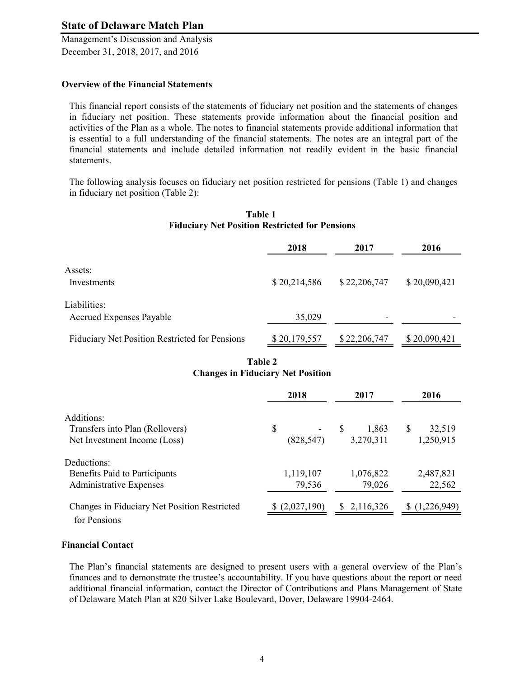Management's Discussion and Analysis December 31, 2018, 2017, and 2016

## **Overview of the Financial Statements**

This financial report consists of the statements of fiduciary net position and the statements of changes in fiduciary net position. These statements provide information about the financial position and activities of the Plan as a whole. The notes to financial statements provide additional information that is essential to a full understanding of the financial statements. The notes are an integral part of the financial statements and include detailed information not readily evident in the basic financial statements.

The following analysis focuses on fiduciary net position restricted for pensions (Table 1) and changes in fiduciary net position (Table 2):

# **2018 2017 2016 Fiduciary Net Position Restricted for Pensions**

**Table 1** 

| Assets:<br>Investments                                | \$20,214,586 | \$22,206,747 | \$20,090,421 |
|-------------------------------------------------------|--------------|--------------|--------------|
| Liabilities:<br><b>Accrued Expenses Payable</b>       | 35,029       |              |              |
|                                                       |              |              |              |
| <b>Fiduciary Net Position Restricted for Pensions</b> | \$20,179,557 | \$22,206,747 | \$20,090,421 |

# **Table 2 Changes in Fiduciary Net Position**

|                                              | 2018        |             | 2016         |
|----------------------------------------------|-------------|-------------|--------------|
| Additions:                                   |             |             |              |
| Transfers into Plan (Rollovers)              | \$          | \$<br>1,863 | 32,519<br>\$ |
| Net Investment Income (Loss)                 | (828, 547)  | 3,270,311   | 1,250,915    |
| Deductions:                                  |             |             |              |
| Benefits Paid to Participants                | 1,119,107   | 1,076,822   | 2,487,821    |
| <b>Administrative Expenses</b>               | 79,536      | 79,026      | 22,562       |
| Changes in Fiduciary Net Position Restricted | (2,027,190) | \$2,116,326 | (1,226,949)  |
| for Pensions                                 |             |             |              |

#### **Financial Contact**

The Plan's financial statements are designed to present users with a general overview of the Plan's finances and to demonstrate the trustee's accountability. If you have questions about the report or need additional financial information, contact the Director of Contributions and Plans Management of State of Delaware Match Plan at 820 Silver Lake Boulevard, Dover, Delaware 19904-2464.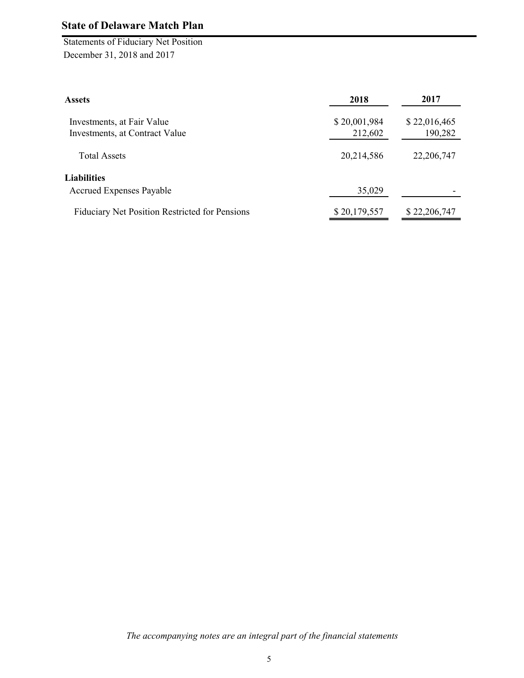Statements of Fiduciary Net Position December 31, 2018 and 2017

| Assets                                                       | 2018                    | 2017                    |
|--------------------------------------------------------------|-------------------------|-------------------------|
| Investments, at Fair Value<br>Investments, at Contract Value | \$20,001,984<br>212,602 | \$22,016,465<br>190,282 |
| <b>Total Assets</b>                                          | 20,214,586              | 22,206,747              |
| Liabilities                                                  |                         |                         |
| <b>Accrued Expenses Payable</b>                              | 35,029                  |                         |
| <b>Fiduciary Net Position Restricted for Pensions</b>        | \$20,179,557            | \$22,206,747            |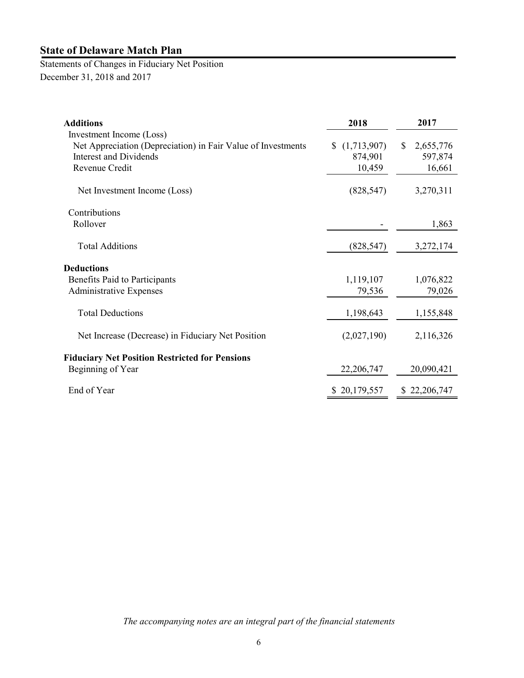Statements of Changes in Fiduciary Net Position December 31, 2018 and 2017

| <b>Additions</b>                                                                         | 2018              | 2017                       |
|------------------------------------------------------------------------------------------|-------------------|----------------------------|
| Investment Income (Loss)<br>Net Appreciation (Depreciation) in Fair Value of Investments | (1,713,907)<br>\$ | <sup>\$</sup><br>2,655,776 |
| <b>Interest and Dividends</b>                                                            | 874,901           | 597,874                    |
| Revenue Credit                                                                           | 10,459            | 16,661                     |
| Net Investment Income (Loss)                                                             | (828, 547)        | 3,270,311                  |
| Contributions                                                                            |                   |                            |
| Rollover                                                                                 |                   | 1,863                      |
| <b>Total Additions</b>                                                                   | (828, 547)        | 3,272,174                  |
| <b>Deductions</b>                                                                        |                   |                            |
| Benefits Paid to Participants                                                            | 1,119,107         | 1,076,822                  |
| Administrative Expenses                                                                  | 79,536            | 79,026                     |
| <b>Total Deductions</b>                                                                  | 1,198,643         | 1,155,848                  |
| Net Increase (Decrease) in Fiduciary Net Position                                        | (2,027,190)       | 2,116,326                  |
| <b>Fiduciary Net Position Restricted for Pensions</b>                                    |                   |                            |
| Beginning of Year                                                                        | 22,206,747        | 20,090,421                 |
| End of Year                                                                              | 20,179,557        | 22,206,747                 |

*The accompanying notes are an integral part of the financial statements*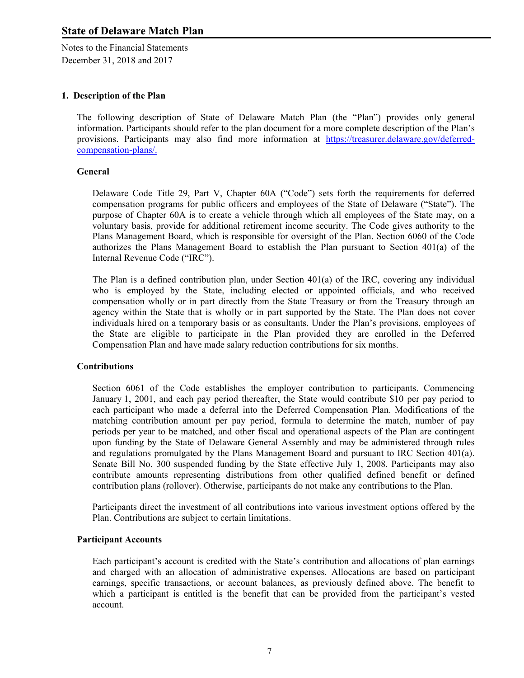# **1. Description of the Plan**

The following description of State of Delaware Match Plan (the "Plan") provides only general information. Participants should refer to the plan document for a more complete description of the Plan's provisions. Participants may also find more information at https://treasurer.delaware.gov/deferredcompensation-plans/.

# **General**

Delaware Code Title 29, Part V, Chapter 60A ("Code") sets forth the requirements for deferred compensation programs for public officers and employees of the State of Delaware ("State"). The purpose of Chapter 60A is to create a vehicle through which all employees of the State may, on a voluntary basis, provide for additional retirement income security. The Code gives authority to the Plans Management Board, which is responsible for oversight of the Plan. Section 6060 of the Code authorizes the Plans Management Board to establish the Plan pursuant to Section 401(a) of the Internal Revenue Code ("IRC").

The Plan is a defined contribution plan, under Section 401(a) of the IRC, covering any individual who is employed by the State, including elected or appointed officials, and who received compensation wholly or in part directly from the State Treasury or from the Treasury through an agency within the State that is wholly or in part supported by the State. The Plan does not cover individuals hired on a temporary basis or as consultants. Under the Plan's provisions, employees of the State are eligible to participate in the Plan provided they are enrolled in the Deferred Compensation Plan and have made salary reduction contributions for six months.

# **Contributions**

Section 6061 of the Code establishes the employer contribution to participants. Commencing January 1, 2001, and each pay period thereafter, the State would contribute \$10 per pay period to each participant who made a deferral into the Deferred Compensation Plan. Modifications of the matching contribution amount per pay period, formula to determine the match, number of pay periods per year to be matched, and other fiscal and operational aspects of the Plan are contingent upon funding by the State of Delaware General Assembly and may be administered through rules and regulations promulgated by the Plans Management Board and pursuant to IRC Section 401(a). Senate Bill No. 300 suspended funding by the State effective July 1, 2008. Participants may also contribute amounts representing distributions from other qualified defined benefit or defined contribution plans (rollover). Otherwise, participants do not make any contributions to the Plan.

Participants direct the investment of all contributions into various investment options offered by the Plan. Contributions are subject to certain limitations.

# **Participant Accounts**

Each participant's account is credited with the State's contribution and allocations of plan earnings and charged with an allocation of administrative expenses. Allocations are based on participant earnings, specific transactions, or account balances, as previously defined above. The benefit to which a participant is entitled is the benefit that can be provided from the participant's vested account.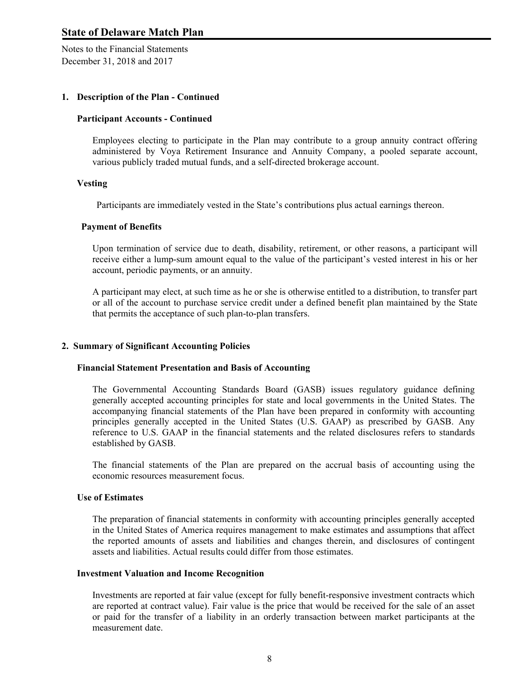Notes to the Financial Statements December 31, 2018 and 2017

# **1. Description of the Plan - Continued**

## **Participant Accounts - Continued**

Employees electing to participate in the Plan may contribute to a group annuity contract offering administered by Voya Retirement Insurance and Annuity Company, a pooled separate account, various publicly traded mutual funds, and a self-directed brokerage account.

# **Vesting**

Participants are immediately vested in the State's contributions plus actual earnings thereon.

### **Payment of Benefits**

Upon termination of service due to death, disability, retirement, or other reasons, a participant will receive either a lump-sum amount equal to the value of the participant's vested interest in his or her account, periodic payments, or an annuity.

A participant may elect, at such time as he or she is otherwise entitled to a distribution, to transfer part or all of the account to purchase service credit under a defined benefit plan maintained by the State that permits the acceptance of such plan-to-plan transfers.

# **2. Summary of Significant Accounting Policies**

#### **Financial Statement Presentation and Basis of Accounting**

The Governmental Accounting Standards Board (GASB) issues regulatory guidance defining generally accepted accounting principles for state and local governments in the United States. The accompanying financial statements of the Plan have been prepared in conformity with accounting principles generally accepted in the United States (U.S. GAAP) as prescribed by GASB. Any reference to U.S. GAAP in the financial statements and the related disclosures refers to standards established by GASB.

The financial statements of the Plan are prepared on the accrual basis of accounting using the economic resources measurement focus.

#### **Use of Estimates**

The preparation of financial statements in conformity with accounting principles generally accepted in the United States of America requires management to make estimates and assumptions that affect the reported amounts of assets and liabilities and changes therein, and disclosures of contingent assets and liabilities. Actual results could differ from those estimates.

#### **Investment Valuation and Income Recognition**

Investments are reported at fair value (except for fully benefit-responsive investment contracts which are reported at contract value). Fair value is the price that would be received for the sale of an asset or paid for the transfer of a liability in an orderly transaction between market participants at the measurement date.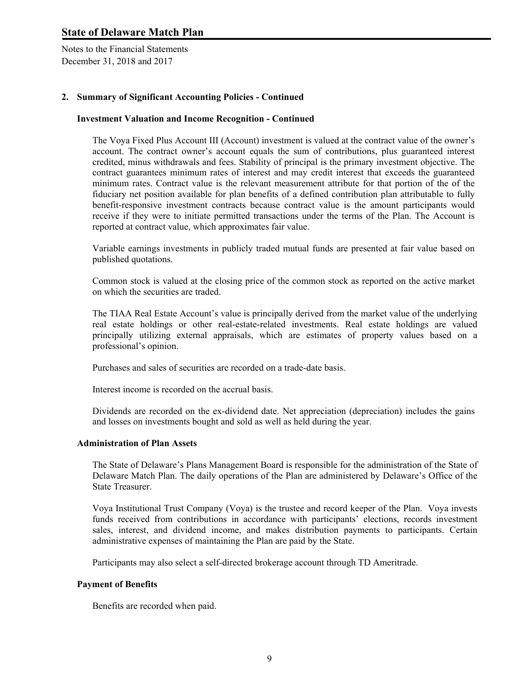Notes to the Financial Statements December 31, 2018 and 2017

# **2. Summary of Significant Accounting Policies - Continued**

### **Investment Valuation and Income Recognition - Continued**

The Voya Fixed Plus Account III (Account) investment is valued at the contract value of the owner's account. The contract owner's account equals the sum of contributions, plus guaranteed interest credited, minus withdrawals and fees. Stability of principal is the primary investment objective. The contract guarantees minimum rates of interest and may credit interest that exceeds the guaranteed minimum rates. Contract value is the relevant measurement attribute for that portion of the of the fiduciary net position available for plan benefits of a defined contribution plan attributable to fully benefit-responsive investment contracts because contract value is the amount participants would receive if they were to initiate permitted transactions under the terms of the Plan. The Account is reported at contract value, which approximates fair value.

Variable earnings investments in publicly traded mutual funds are presented at fair value based on published quotations.

Common stock is valued at the closing price of the common stock as reported on the active market on which the securities are traded.

The TIAA Real Estate Account's value is principally derived from the market value of the underlying real estate holdings or other real-estate-related investments. Real estate holdings are valued principally utilizing external appraisals, which are estimates of property values based on a professional's opinion.

Purchases and sales of securities are recorded on a trade-date basis.

Interest income is recorded on the accrual basis.

Dividends are recorded on the ex-dividend date. Net appreciation (depreciation) includes the gains and losses on investments bought and sold as well as held during the year.

## **Administration of Plan Assets**

The State of Delaware's Plans Management Board is responsible for the administration of the State of Delaware Match Plan. The daily operations of the Plan are administered by Delaware's Office of the State Treasurer.

Voya Institutional Trust Company (Voya) is the trustee and record keeper of the Plan. Voya invests funds received from contributions in accordance with participants' elections, records investment sales, interest, and dividend income, and makes distribution payments to participants. Certain administrative expenses of maintaining the Plan are paid by the State.

Participants may also select a self-directed brokerage account through TD Ameritrade.

# **Payment of Benefits**

Benefits are recorded when paid.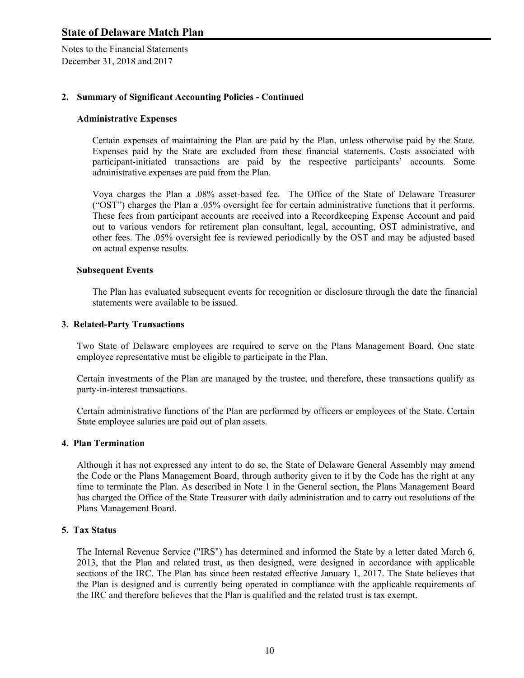Notes to the Financial Statements December 31, 2018 and 2017

# **2. Summary of Significant Accounting Policies - Continued**

## **Administrative Expenses**

Certain expenses of maintaining the Plan are paid by the Plan, unless otherwise paid by the State. Expenses paid by the State are excluded from these financial statements. Costs associated with participant-initiated transactions are paid by the respective participants' accounts. Some administrative expenses are paid from the Plan.

Voya charges the Plan a .08% asset-based fee. The Office of the State of Delaware Treasurer ("OST") charges the Plan a .05% oversight fee for certain administrative functions that it performs. These fees from participant accounts are received into a Recordkeeping Expense Account and paid out to various vendors for retirement plan consultant, legal, accounting, OST administrative, and other fees. The .05% oversight fee is reviewed periodically by the OST and may be adjusted based on actual expense results.

# **Subsequent Events**

The Plan has evaluated subsequent events for recognition or disclosure through the date the financial statements were available to be issued.

### **3. Related-Party Transactions**

Two State of Delaware employees are required to serve on the Plans Management Board. One state employee representative must be eligible to participate in the Plan.

Certain investments of the Plan are managed by the trustee, and therefore, these transactions qualify as party-in-interest transactions.

Certain administrative functions of the Plan are performed by officers or employees of the State. Certain State employee salaries are paid out of plan assets.

# **4. Plan Termination**

Although it has not expressed any intent to do so, the State of Delaware General Assembly may amend the Code or the Plans Management Board, through authority given to it by the Code has the right at any time to terminate the Plan. As described in Note 1 in the General section, the Plans Management Board has charged the Office of the State Treasurer with daily administration and to carry out resolutions of the Plans Management Board.

# **5. Tax Status**

The Internal Revenue Service ("IRS") has determined and informed the State by a letter dated March 6, 2013, that the Plan and related trust, as then designed, were designed in accordance with applicable sections of the IRC. The Plan has since been restated effective January 1, 2017. The State believes that the Plan is designed and is currently being operated in compliance with the applicable requirements of the IRC and therefore believes that the Plan is qualified and the related trust is tax exempt.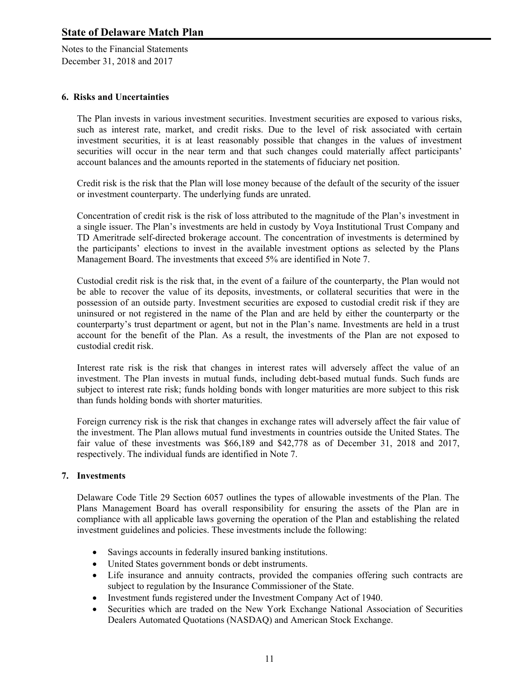# **6. Risks and Uncertainties**

The Plan invests in various investment securities. Investment securities are exposed to various risks, such as interest rate, market, and credit risks. Due to the level of risk associated with certain investment securities, it is at least reasonably possible that changes in the values of investment securities will occur in the near term and that such changes could materially affect participants' account balances and the amounts reported in the statements of fiduciary net position.

Credit risk is the risk that the Plan will lose money because of the default of the security of the issuer or investment counterparty. The underlying funds are unrated.

Concentration of credit risk is the risk of loss attributed to the magnitude of the Plan's investment in a single issuer. The Plan's investments are held in custody by Voya Institutional Trust Company and TD Ameritrade self-directed brokerage account. The concentration of investments is determined by the participants' elections to invest in the available investment options as selected by the Plans Management Board. The investments that exceed 5% are identified in Note 7.

Custodial credit risk is the risk that, in the event of a failure of the counterparty, the Plan would not be able to recover the value of its deposits, investments, or collateral securities that were in the possession of an outside party. Investment securities are exposed to custodial credit risk if they are uninsured or not registered in the name of the Plan and are held by either the counterparty or the counterparty's trust department or agent, but not in the Plan's name. Investments are held in a trust account for the benefit of the Plan. As a result, the investments of the Plan are not exposed to custodial credit risk.

Interest rate risk is the risk that changes in interest rates will adversely affect the value of an investment. The Plan invests in mutual funds, including debt-based mutual funds. Such funds are subject to interest rate risk; funds holding bonds with longer maturities are more subject to this risk than funds holding bonds with shorter maturities.

Foreign currency risk is the risk that changes in exchange rates will adversely affect the fair value of the investment. The Plan allows mutual fund investments in countries outside the United States. The fair value of these investments was \$66,189 and \$42,778 as of December 31, 2018 and 2017, respectively. The individual funds are identified in Note 7.

# **7. Investments**

Delaware Code Title 29 Section 6057 outlines the types of allowable investments of the Plan. The Plans Management Board has overall responsibility for ensuring the assets of the Plan are in compliance with all applicable laws governing the operation of the Plan and establishing the related investment guidelines and policies. These investments include the following:

- Savings accounts in federally insured banking institutions.
- United States government bonds or debt instruments.
- Life insurance and annuity contracts, provided the companies offering such contracts are subject to regulation by the Insurance Commissioner of the State.
- Investment funds registered under the Investment Company Act of 1940.
- Securities which are traded on the New York Exchange National Association of Securities Dealers Automated Quotations (NASDAQ) and American Stock Exchange.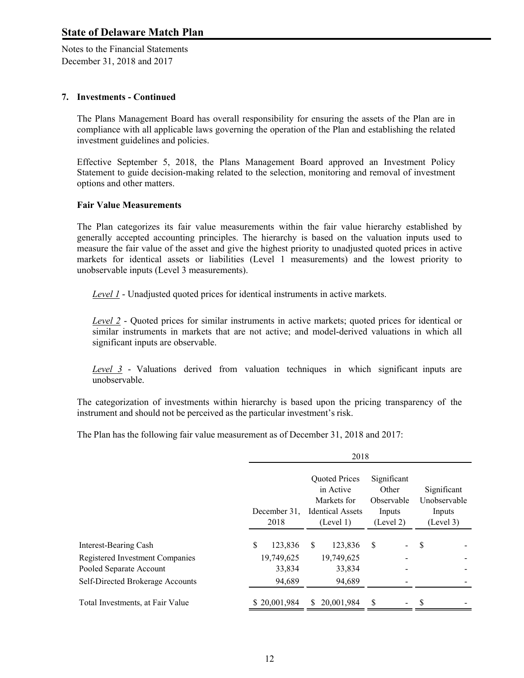# **7. Investments - Continued**

The Plans Management Board has overall responsibility for ensuring the assets of the Plan are in compliance with all applicable laws governing the operation of the Plan and establishing the related investment guidelines and policies.

Effective September 5, 2018, the Plans Management Board approved an Investment Policy Statement to guide decision-making related to the selection, monitoring and removal of investment options and other matters.

# **Fair Value Measurements**

The Plan categorizes its fair value measurements within the fair value hierarchy established by generally accepted accounting principles. The hierarchy is based on the valuation inputs used to measure the fair value of the asset and give the highest priority to unadjusted quoted prices in active markets for identical assets or liabilities (Level 1 measurements) and the lowest priority to unobservable inputs (Level 3 measurements).

*Level 1* - Unadjusted quoted prices for identical instruments in active markets.

*Level 2* - Quoted prices for similar instruments in active markets; quoted prices for identical or similar instruments in markets that are not active; and model-derived valuations in which all significant inputs are observable.

*Level 3* - Valuations derived from valuation techniques in which significant inputs are unobservable.

The categorization of investments within hierarchy is based upon the pricing transparency of the instrument and should not be perceived as the particular investment's risk.

The Plan has the following fair value measurement as of December 31, 2018 and 2017:

|                                  | 2018                 |                                                                                                                                                       |                                           |                                                    |  |
|----------------------------------|----------------------|-------------------------------------------------------------------------------------------------------------------------------------------------------|-------------------------------------------|----------------------------------------------------|--|
|                                  | December 31.<br>2018 | <b>Quoted Prices</b><br>Significant<br>in Active<br>Other<br>Markets for<br>Observable<br><b>Identical Assets</b><br>Inputs<br>(Level 2)<br>(Level 1) |                                           | Significant<br>Unobservable<br>Inputs<br>(Level 3) |  |
| Interest-Bearing Cash            | S.<br>123,836        | S<br>123,836                                                                                                                                          | <sup>\$</sup>                             | <sup>\$</sup>                                      |  |
| Registered Investment Companies  | 19,749,625           | 19,749,625                                                                                                                                            |                                           |                                                    |  |
| Pooled Separate Account          | 33,834               | 33,834                                                                                                                                                |                                           |                                                    |  |
| Self-Directed Brokerage Accounts | 94,689               | 94,689                                                                                                                                                |                                           |                                                    |  |
| Total Investments, at Fair Value | \$20,001,984         | \$ 20,001,984                                                                                                                                         | <sup>\$</sup><br>$\overline{\phantom{0}}$ | -S                                                 |  |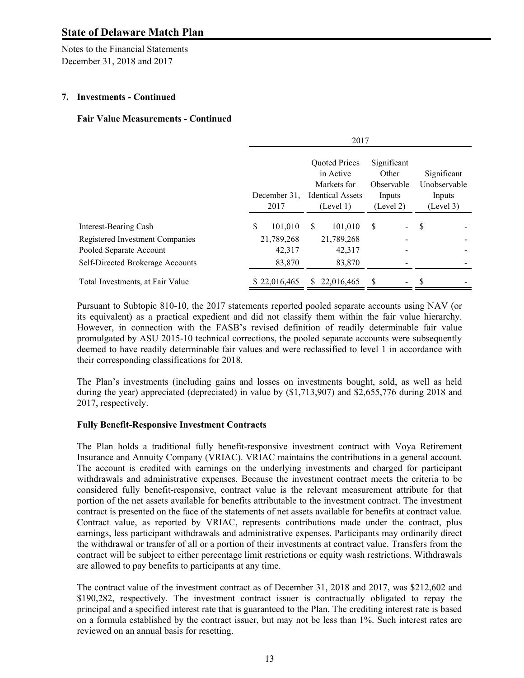Notes to the Financial Statements December 31, 2018 and 2017

# **7. Investments - Continued**

# **Fair Value Measurements - Continued**

|                                  | 2017                 |                                                                                          |                                                           |                                                    |  |
|----------------------------------|----------------------|------------------------------------------------------------------------------------------|-----------------------------------------------------------|----------------------------------------------------|--|
|                                  | December 31,<br>2017 | <b>Quoted Prices</b><br>in Active<br>Markets for<br><b>Identical Assets</b><br>(Level 1) | Significant<br>Other<br>Observable<br>Inputs<br>(Level 2) | Significant<br>Unobservable<br>Inputs<br>(Level 3) |  |
| Interest-Bearing Cash            | \$<br>101,010        | S<br>101,010                                                                             | <sup>\$</sup>                                             | -S                                                 |  |
| Registered Investment Companies  | 21,789,268           | 21,789,268                                                                               |                                                           |                                                    |  |
| Pooled Separate Account          | 42,317               | 42,317                                                                                   |                                                           |                                                    |  |
| Self-Directed Brokerage Accounts | 83,870               | 83,870                                                                                   |                                                           |                                                    |  |
| Total Investments, at Fair Value | \$22,016,465         | 22,016,465<br>S.                                                                         | S.                                                        |                                                    |  |

Pursuant to Subtopic 810-10, the 2017 statements reported pooled separate accounts using NAV (or its equivalent) as a practical expedient and did not classify them within the fair value hierarchy. However, in connection with the FASB's revised definition of readily determinable fair value promulgated by ASU 2015-10 technical corrections, the pooled separate accounts were subsequently deemed to have readily determinable fair values and were reclassified to level 1 in accordance with their corresponding classifications for 2018.

The Plan's investments (including gains and losses on investments bought, sold, as well as held during the year) appreciated (depreciated) in value by (\$1,713,907) and \$2,655,776 during 2018 and 2017, respectively.

# **Fully Benefit-Responsive Investment Contracts**

The Plan holds a traditional fully benefit-responsive investment contract with Voya Retirement Insurance and Annuity Company (VRIAC). VRIAC maintains the contributions in a general account. The account is credited with earnings on the underlying investments and charged for participant withdrawals and administrative expenses. Because the investment contract meets the criteria to be considered fully benefit-responsive, contract value is the relevant measurement attribute for that portion of the net assets available for benefits attributable to the investment contract. The investment contract is presented on the face of the statements of net assets available for benefits at contract value. Contract value, as reported by VRIAC, represents contributions made under the contract, plus earnings, less participant withdrawals and administrative expenses. Participants may ordinarily direct the withdrawal or transfer of all or a portion of their investments at contract value. Transfers from the contract will be subject to either percentage limit restrictions or equity wash restrictions. Withdrawals are allowed to pay benefits to participants at any time.

The contract value of the investment contract as of December 31, 2018 and 2017, was \$212,602 and \$190,282, respectively. The investment contract issuer is contractually obligated to repay the principal and a specified interest rate that is guaranteed to the Plan. The crediting interest rate is based on a formula established by the contract issuer, but may not be less than 1%. Such interest rates are reviewed on an annual basis for resetting.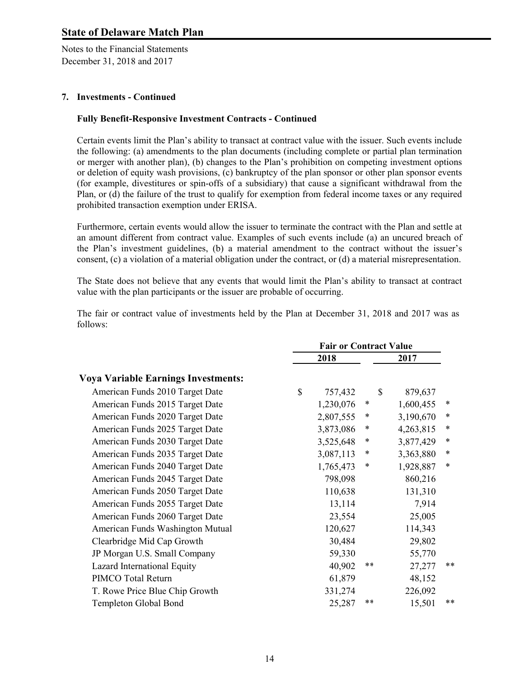# **7. Investments - Continued**

# **Fully Benefit-Responsive Investment Contracts - Continued**

Certain events limit the Plan's ability to transact at contract value with the issuer. Such events include the following: (a) amendments to the plan documents (including complete or partial plan termination or merger with another plan), (b) changes to the Plan's prohibition on competing investment options or deletion of equity wash provisions, (c) bankruptcy of the plan sponsor or other plan sponsor events (for example, divestitures or spin-offs of a subsidiary) that cause a significant withdrawal from the Plan, or (d) the failure of the trust to qualify for exemption from federal income taxes or any required prohibited transaction exemption under ERISA.

Furthermore, certain events would allow the issuer to terminate the contract with the Plan and settle at an amount different from contract value. Examples of such events include (a) an uncured breach of the Plan's investment guidelines, (b) a material amendment to the contract without the issuer's consent, (c) a violation of a material obligation under the contract, or (d) a material misrepresentation.

The State does not believe that any events that would limit the Plan's ability to transact at contract value with the plan participants or the issuer are probable of occurring.

The fair or contract value of investments held by the Plan at December 31, 2018 and 2017 was as follows:

|                                            | <b>Fair or Contract Value</b> |           |        |    |           |        |
|--------------------------------------------|-------------------------------|-----------|--------|----|-----------|--------|
|                                            |                               | 2018      |        |    | 2017      |        |
| <b>Voya Variable Earnings Investments:</b> |                               |           |        |    |           |        |
| American Funds 2010 Target Date            | \$                            | 757,432   |        | \$ | 879,637   |        |
| American Funds 2015 Target Date            |                               | 1,230,076 | ∗      |    | 1,600,455 | *      |
| American Funds 2020 Target Date            |                               | 2,807,555 | $\ast$ |    | 3,190,670 | *      |
| American Funds 2025 Target Date            |                               | 3,873,086 | ∗      |    | 4,263,815 | $\ast$ |
| American Funds 2030 Target Date            |                               | 3,525,648 | ∗      |    | 3,877,429 | $\ast$ |
| American Funds 2035 Target Date            |                               | 3,087,113 | $\ast$ |    | 3,363,880 | $\ast$ |
| American Funds 2040 Target Date            |                               | 1,765,473 | $\ast$ |    | 1,928,887 | $\ast$ |
| American Funds 2045 Target Date            |                               | 798,098   |        |    | 860,216   |        |
| American Funds 2050 Target Date            |                               | 110,638   |        |    | 131,310   |        |
| American Funds 2055 Target Date            |                               | 13,114    |        |    | 7,914     |        |
| American Funds 2060 Target Date            |                               | 23,554    |        |    | 25,005    |        |
| American Funds Washington Mutual           |                               | 120,627   |        |    | 114,343   |        |
| Clearbridge Mid Cap Growth                 |                               | 30,484    |        |    | 29,802    |        |
| JP Morgan U.S. Small Company               |                               | 59,330    |        |    | 55,770    |        |
| Lazard International Equity                |                               | 40,902    | **     |    | 27,277    | $***$  |
| PIMCO Total Return                         |                               | 61,879    |        |    | 48,152    |        |
| T. Rowe Price Blue Chip Growth             |                               | 331,274   |        |    | 226,092   |        |
| Templeton Global Bond                      |                               | 25,287    | **     |    | 15,501    | $***$  |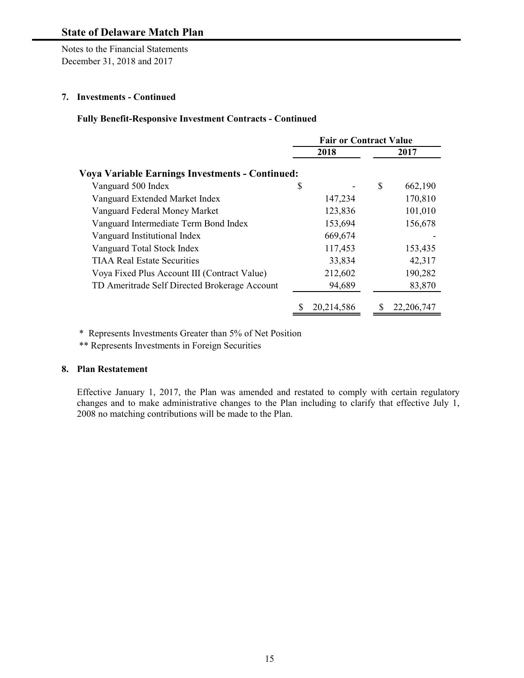Notes to the Financial Statements December 31, 2018 and 2017

# **7. Investments - Continued**

# **Fully Benefit-Responsive Investment Contracts - Continued**

|                                                        | <b>Fair or Contract Value</b> |            |    |              |
|--------------------------------------------------------|-------------------------------|------------|----|--------------|
|                                                        | 2018                          |            |    | 2017         |
| <b>Voya Variable Earnings Investments - Continued:</b> |                               |            |    |              |
| Vanguard 500 Index                                     | S                             |            | \$ | 662,190      |
| Vanguard Extended Market Index                         |                               | 147,234    |    | 170,810      |
| Vanguard Federal Money Market                          |                               | 123,836    |    | 101,010      |
| Vanguard Intermediate Term Bond Index                  |                               | 153,694    |    | 156,678      |
| Vanguard Institutional Index                           |                               | 669,674    |    |              |
| Vanguard Total Stock Index                             |                               | 117,453    |    | 153,435      |
| <b>TIAA Real Estate Securities</b>                     |                               | 33,834     |    | 42,317       |
| Voya Fixed Plus Account III (Contract Value)           |                               | 212,602    |    | 190,282      |
| TD Ameritrade Self Directed Brokerage Account          |                               | 94,689     |    | 83,870       |
|                                                        | S                             | 20,214,586 |    | 22, 206, 747 |

\* Represents Investments Greater than 5% of Net Position

\*\* Represents Investments in Foreign Securities

# **8. Plan Restatement**

Effective January 1, 2017, the Plan was amended and restated to comply with certain regulatory changes and to make administrative changes to the Plan including to clarify that effective July 1, 2008 no matching contributions will be made to the Plan.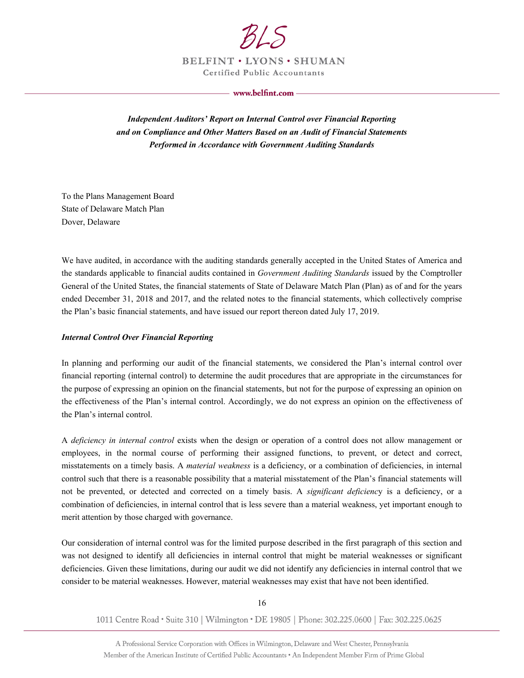

**BELFINT . LYONS . SHUMAN Certified Public Accountants** 

#### www.belfint.com

*Independent Auditors' Report on Internal Control over Financial Reporting and on Compliance and Other Matters Based on an Audit of Financial Statements Performed in Accordance with Government Auditing Standards* 

To the Plans Management Board State of Delaware Match Plan Dover, Delaware

We have audited, in accordance with the auditing standards generally accepted in the United States of America and the standards applicable to financial audits contained in *Government Auditing Standards* issued by the Comptroller General of the United States, the financial statements of State of Delaware Match Plan (Plan) as of and for the years ended December 31, 2018 and 2017, and the related notes to the financial statements, which collectively comprise the Plan's basic financial statements, and have issued our report thereon dated July 17, 2019.

#### *Internal Control Over Financial Reporting*

In planning and performing our audit of the financial statements, we considered the Plan's internal control over financial reporting (internal control) to determine the audit procedures that are appropriate in the circumstances for the purpose of expressing an opinion on the financial statements, but not for the purpose of expressing an opinion on the effectiveness of the Plan's internal control. Accordingly, we do not express an opinion on the effectiveness of the Plan's internal control.

A *deficiency in internal control* exists when the design or operation of a control does not allow management or employees, in the normal course of performing their assigned functions, to prevent, or detect and correct, misstatements on a timely basis. A *material weakness* is a deficiency, or a combination of deficiencies, in internal control such that there is a reasonable possibility that a material misstatement of the Plan's financial statements will not be prevented, or detected and corrected on a timely basis. A *significant deficienc*y is a deficiency, or a combination of deficiencies, in internal control that is less severe than a material weakness, yet important enough to merit attention by those charged with governance.

Our consideration of internal control was for the limited purpose described in the first paragraph of this section and was not designed to identify all deficiencies in internal control that might be material weaknesses or significant deficiencies. Given these limitations, during our audit we did not identify any deficiencies in internal control that we consider to be material weaknesses. However, material weaknesses may exist that have not been identified.

1011 Centre Road • Suite 310 | Wilmington • DE 19805 | Phone: 302.225.0600 | Fax: 302.225.0625